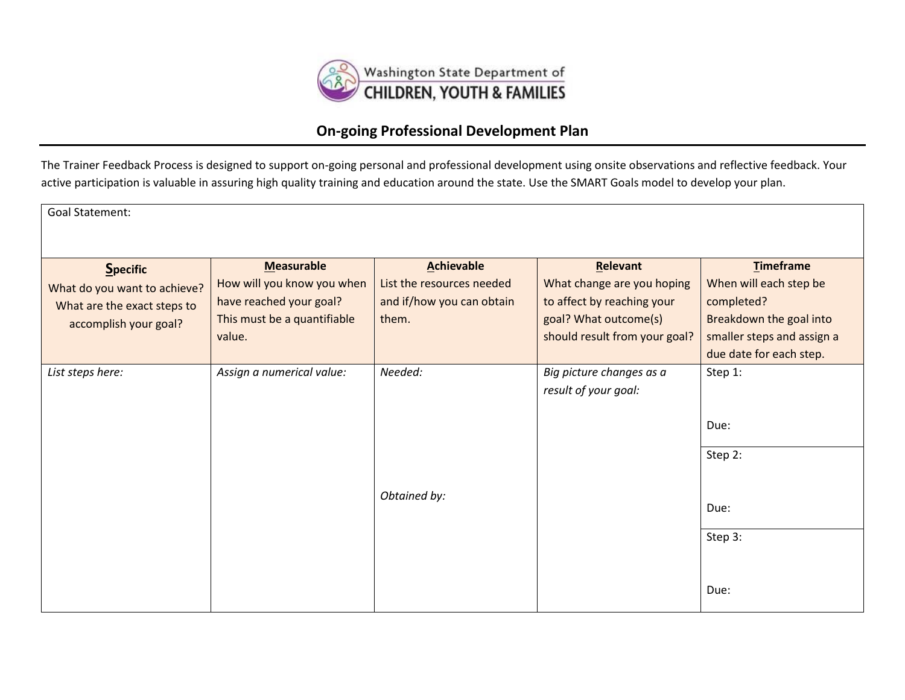

## **On-going Professional Development Plan**

The Trainer Feedback Process is designed to support on-going personal and professional development using onsite observations and reflective feedback. Your active participation is valuable in assuring high quality training and education around the state. Use the SMART Goals model to develop your plan.

| <b>Goal Statement:</b>                                                                                  |                                                                                                                     |                                                                                      |                                                                                                                                |                                                                                                                                              |
|---------------------------------------------------------------------------------------------------------|---------------------------------------------------------------------------------------------------------------------|--------------------------------------------------------------------------------------|--------------------------------------------------------------------------------------------------------------------------------|----------------------------------------------------------------------------------------------------------------------------------------------|
| <b>Specific</b><br>What do you want to achieve?<br>What are the exact steps to<br>accomplish your goal? | <b>Measurable</b><br>How will you know you when<br>have reached your goal?<br>This must be a quantifiable<br>value. | <b>Achievable</b><br>List the resources needed<br>and if/how you can obtain<br>them. | Relevant<br>What change are you hoping<br>to affect by reaching your<br>goal? What outcome(s)<br>should result from your goal? | <b>Timeframe</b><br>When will each step be<br>completed?<br>Breakdown the goal into<br>smaller steps and assign a<br>due date for each step. |
| List steps here:                                                                                        | Assign a numerical value:                                                                                           | Needed:<br>Obtained by:                                                              | Big picture changes as a<br>result of your goal:                                                                               | Step 1:<br>Due:<br>Step 2:<br>Due:<br>Step 3:<br>Due:                                                                                        |